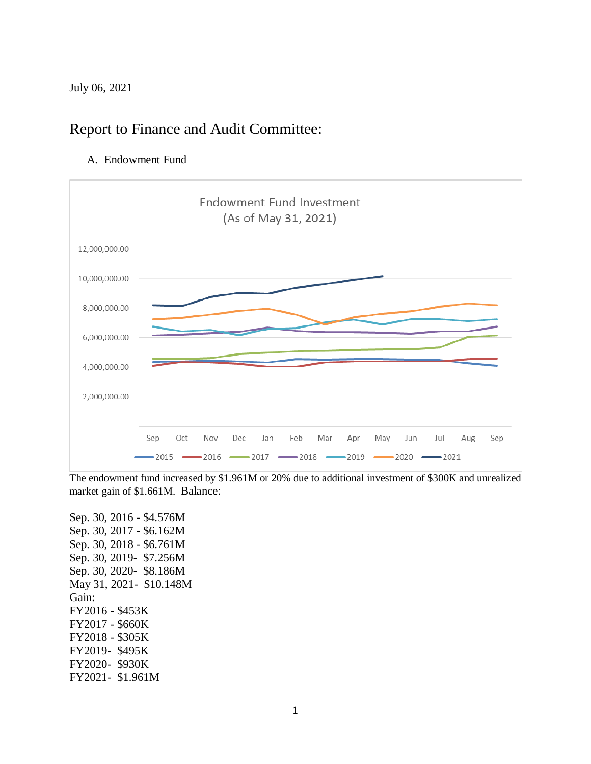July 06, 2021

# Report to Finance and Audit Committee:

A. Endowment Fund



The endowment fund increased by \$1.961M or 20% due to additional investment of \$300K and unrealized market gain of \$1.661M. Balance:

Sep. 30, 2016 - \$4.576M Sep. 30, 2017 - \$6.162M Sep. 30, 2018 - \$6.761M Sep. 30, 2019- \$7.256M Sep. 30, 2020- \$8.186M May 31, 2021- \$10.148M Gain: FY2016 - \$453K FY2017 - \$660K FY2018 - \$305K FY2019- \$495K FY2020- \$930K FY2021- \$1.961M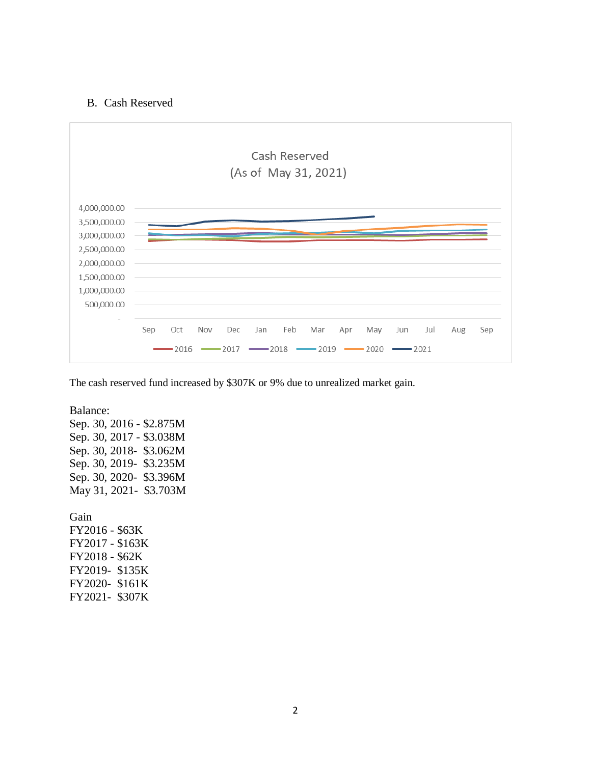#### B. Cash Reserved



The cash reserved fund increased by \$307K or 9% due to unrealized market gain.

Balance:

Sep. 30, 2016 - \$2.875M Sep. 30, 2017 - \$3.038M Sep. 30, 2018- \$3.062M Sep. 30, 2019- \$3.235M Sep. 30, 2020- \$3.396M May 31, 2021- \$3.703M

Gain FY2016 - \$63K FY2017 - \$163K FY2018 - \$62K FY2019- \$135K FY2020- \$161K FY2021- \$307K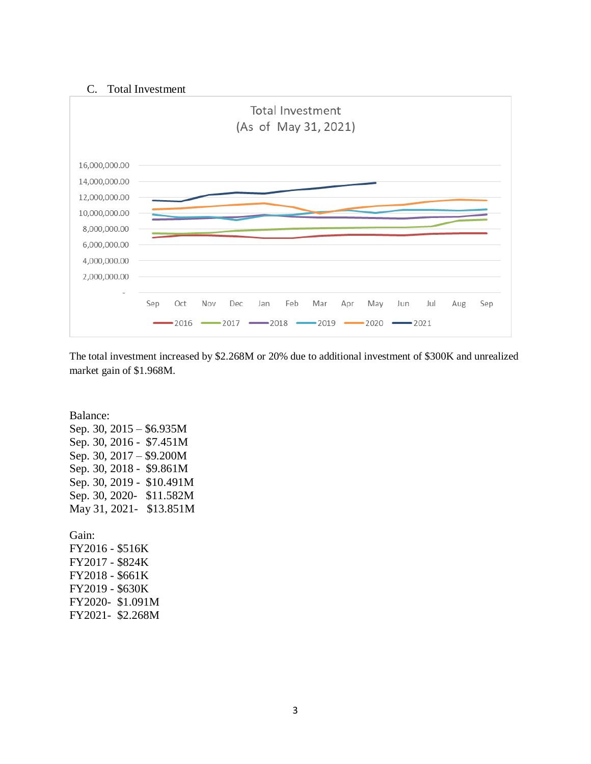#### C. Total Investment



The total investment increased by \$2.268M or 20% due to additional investment of \$300K and unrealized market gain of \$1.968M.

Balance: Sep. 30, 2015 – \$6.935M Sep. 30, 2016 - \$7.451M Sep. 30, 2017 – \$9.200M Sep. 30, 2018 - \$9.861M Sep. 30, 2019 - \$10.491M Sep. 30, 2020- \$11.582M May 31, 2021- \$13.851M Gain: FY2016 - \$516K FY2017 - \$824K FY2018 - \$661K

FY2019 - \$630K FY2020- \$1.091M FY2021- \$2.268M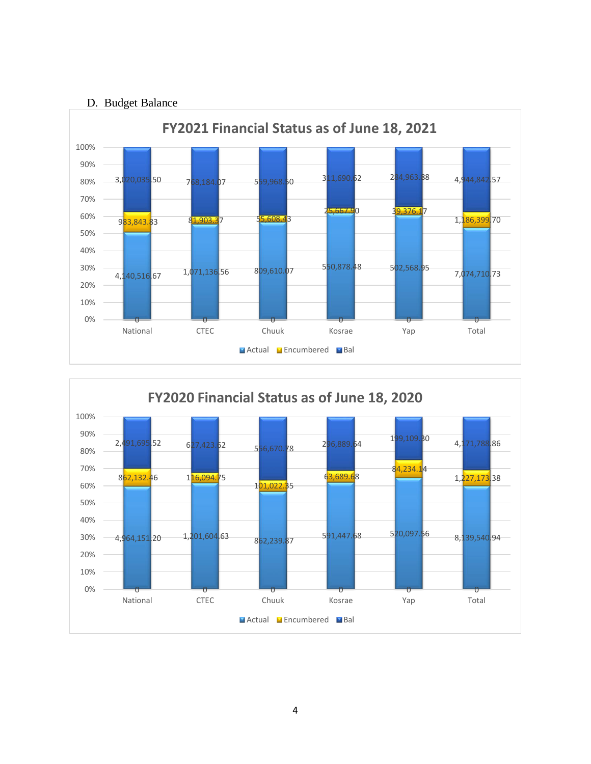### D. Budget Balance



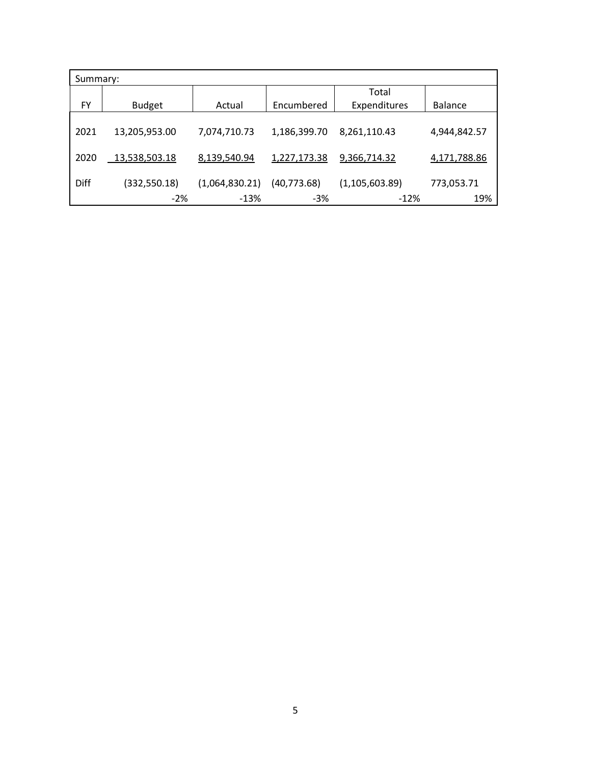| Summary: |               |                |              |                  |                |  |
|----------|---------------|----------------|--------------|------------------|----------------|--|
|          |               |                |              | Total            |                |  |
| FY       | <b>Budget</b> | Actual         | Encumbered   | Expenditures     | <b>Balance</b> |  |
|          |               |                |              |                  |                |  |
| 2021     | 13,205,953.00 | 7,074,710.73   | 1,186,399.70 | 8,261,110.43     | 4,944,842.57   |  |
|          |               |                |              |                  |                |  |
| 2020     | 13,538,503.18 | 8,139,540.94   | 1,227,173.38 | 9,366,714.32     | 4,171,788.86   |  |
|          |               |                |              |                  |                |  |
| Diff     | (332, 550.18) | (1,064,830.21) | (40, 773.68) | (1, 105, 603.89) | 773,053.71     |  |
|          | $-2%$         | $-13%$         | $-3%$        | $-12%$           | 19%            |  |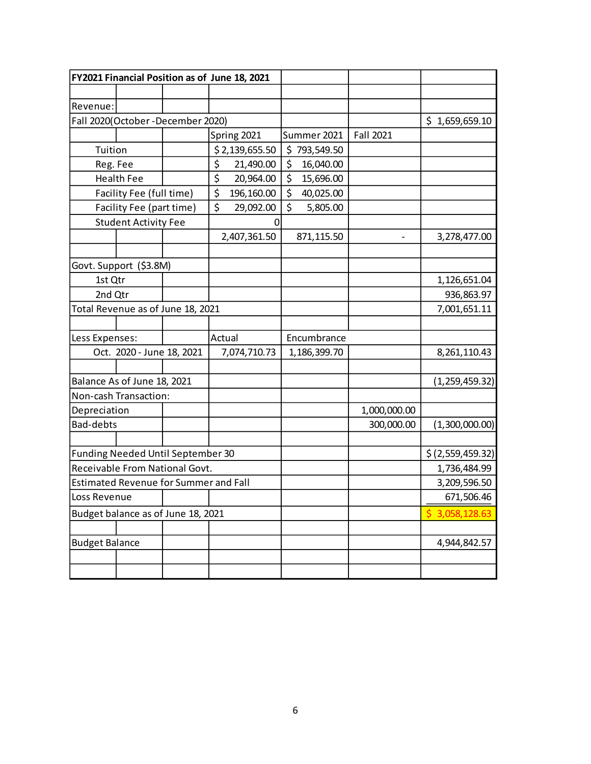| FY2021 Financial Position as of June 18, 2021 |                                   |  |              |                |             |              |              |                  |
|-----------------------------------------------|-----------------------------------|--|--------------|----------------|-------------|--------------|--------------|------------------|
|                                               |                                   |  |              |                |             |              |              |                  |
| Revenue:                                      |                                   |  |              |                |             |              |              |                  |
|                                               | Fall 2020(October-December 2020)  |  |              |                |             |              |              | \$1,659,659.10   |
|                                               |                                   |  |              | Spring 2021    |             | Summer 2021  | Fall 2021    |                  |
| Tuition                                       |                                   |  |              | \$2,139,655.50 |             | \$793,549.50 |              |                  |
| Reg. Fee                                      |                                   |  | \$           | 21,490.00      | \$          | 16,040.00    |              |                  |
|                                               | <b>Health Fee</b>                 |  | \$           | 20,964.00      | \$          | 15,696.00    |              |                  |
|                                               | Facility Fee (full time)          |  | \$           | 196,160.00     | \$          | 40,025.00    |              |                  |
|                                               | Facility Fee (part time)          |  | \$           | 29,092.00      | \$          | 5,805.00     |              |                  |
|                                               | <b>Student Activity Fee</b>       |  |              | 0              |             |              |              |                  |
|                                               |                                   |  |              | 2,407,361.50   |             | 871,115.50   |              | 3,278,477.00     |
|                                               |                                   |  |              |                |             |              |              |                  |
|                                               | Govt. Support (\$3.8M)            |  |              |                |             |              |              |                  |
| 1st Qtr                                       |                                   |  |              |                |             |              |              | 1,126,651.04     |
| 2nd Qtr                                       |                                   |  |              |                |             |              |              | 936,863.97       |
|                                               | Total Revenue as of June 18, 2021 |  |              |                |             |              |              | 7,001,651.11     |
|                                               |                                   |  |              |                |             |              |              |                  |
| Less Expenses:                                |                                   |  | Actual       |                | Encumbrance |              |              |                  |
| Oct. 2020 - June 18, 2021                     |                                   |  | 7,074,710.73 |                |             | 1,186,399.70 |              | 8,261,110.43     |
|                                               |                                   |  |              |                |             |              |              |                  |
| Balance As of June 18, 2021                   |                                   |  |              |                |             |              |              | (1, 259, 459.32) |
| Non-cash Transaction:                         |                                   |  |              |                |             |              |              |                  |
| Depreciation                                  |                                   |  |              |                |             |              | 1,000,000.00 |                  |
| Bad-debts                                     |                                   |  |              |                |             |              | 300,000.00   | (1,300,000.00)   |
|                                               |                                   |  |              |                |             |              |              |                  |
|                                               | Funding Needed Until September 30 |  |              |                |             |              |              | \$(2,559,459.32) |
| Receivable From National Govt.                |                                   |  |              |                |             |              |              | 1,736,484.99     |
| <b>Estimated Revenue for Summer and Fall</b>  |                                   |  |              |                |             |              |              | 3,209,596.50     |
| Loss Revenue                                  |                                   |  |              |                |             |              |              | 671,506.46       |
| Budget balance as of June 18, 2021            |                                   |  |              |                |             |              |              | \$3,058,128.63   |
|                                               |                                   |  |              |                |             |              |              |                  |
| <b>Budget Balance</b>                         |                                   |  |              |                |             |              |              | 4,944,842.57     |
|                                               |                                   |  |              |                |             |              |              |                  |
|                                               |                                   |  |              |                |             |              |              |                  |